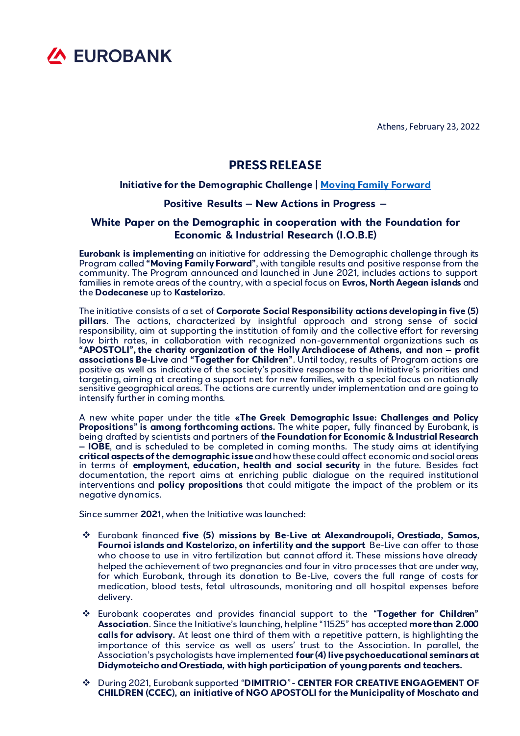

Athens, February 23, 2022

## **PRESS RELEASE**

## **Initiative for the Demographic Challenge | [Moving Family Forward](https://www.eurobank.gr/el/lp/mprosta-gia-tin-oikogeneia)**

## **Positive Results – New Actions in Progress –**

## **White Paper on the Demographic in cooperation with the Foundation for Economic & Industrial Research (I.O.B.E)**

**Eurobank is implementing** an initiative for addressing the Demographic challenge through its Program called **"Moving Family Forward"**, with tangible results and positive response from the community. The Program announced and launched in June 2021, includes actions to support families in remote areas of the country, with a special focus on **Evros, North Aegean islands** and the **Dodecanese** up to **Kastelorizo**.

The initiative consists of a set of **Corporate Social Responsibility actions developingin five (5) pillars**. The actions, characterized by insightful approach and strong sense of social responsibility, aim at supporting the institution of family and the collective effort for reversing low birth rates, in collaboration with recognized non-governmental organizations such as **"APOSTOLI", the charity organization of the Holly Archdiocese of Athens, and non – profit associations Be-Live** and **"Together for Children"**. Until today, results of Program actions are positive as well as indicative of the society's positive response to the Initiative's priorities and targeting, aiming at creating a support net for new families, with a special focus on nationally sensitive geographical areas. The actions are currently under implementation and are going to intensify further in coming months.

A new white paper under the title **«The Greek Demographic Issue: Challenges and Policy Propositions" is among forthcoming actions.** The white paper**,** fully financed by Eurobank, is being drafted by scientists and partners of **the Foundation for Economic & Industrial Research – IOBE**, and is scheduled to be completed in coming months. The study aims at identifying **critical aspects of the demographic issue**and how these could affect economic and social areas in terms of **employment, education, health and social security** in the future. Besides fact documentation, the report aims at enriching public dialogue on the required institutional interventions and **policy propositions** that could mitigate the impact of the problem or its negative dynamics.

Since summer **2021,** when the Initiative was launched:

- ❖ Eurobank financed **five (5) missions by Be-Live at Alexandroupoli, Orestiada, Samos, Fournoi islands and Kastelorizo, on infertility and the support** Be-Live can offer to those who choose to use in vitro fertilization but cannot afford it. These missions have already helped the achievement of two pregnancies and four in vitro processes that are under way, for which Eurobank, through its donation to Be-Live, covers the full range of costs for medication, blood tests, fetal ultrasounds, monitoring and all hospital expenses before delivery.
- ❖ Eurobank cooperates and provides financial support to the "**Together for Children" Association**. Since the Initiative's launching, helpline "11525" has accepted **more than 2.000 calls for advisory.** At least one third of them with a repetitive pattern, is highlighting the importance of this service as well as users' trust to the Association. In parallel, the Association's psychologists have implemented **four (4) live psychoeducational seminars at Didymoteicho and Orestiada, with high participation of young parents and teachers.**
- ❖ During 2021, Eurobank supported *"***DIMITRIO***"***- CENTER FOR CREATIVE ENGAGEMENT OF CHILDREN (CCEC), an initiative of NGO APOSTOLI for the Municipality of Moschato and**